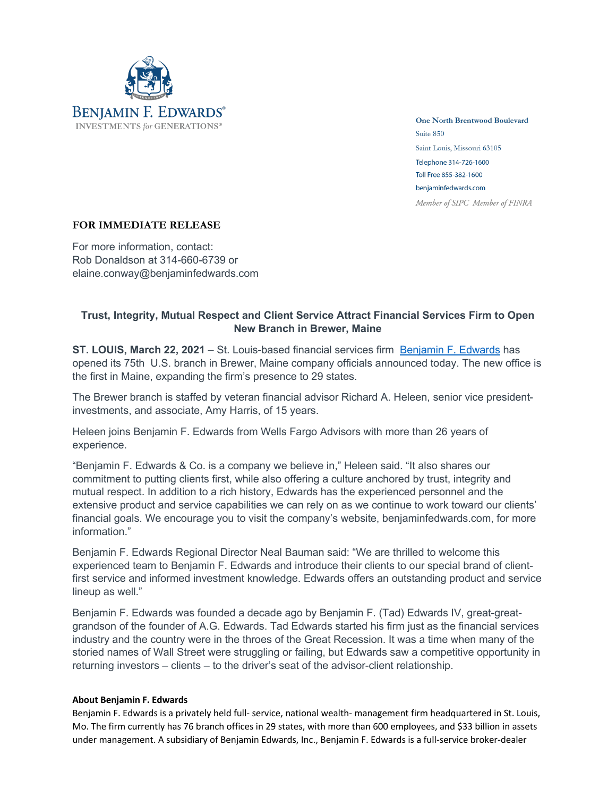

**One North Brentwood Boulevard** Suite 850 Saint Louis, Missouri 63105 Telephone 314-726-1600 Toll Free 855-382-1600 benjaminfedwards.com Member of SIPC Member of FINRA

## **FOR IMMEDIATE RELEASE**

For more information, contact: Rob Donaldson at 314-660-6739 or elaine.conway@benjaminfedwards.com

## **Trust, Integrity, Mutual Respect and Client Service Attract Financial Services Firm to Open New Branch in Brewer, Maine**

**ST. LOUIS, March 22, 2021** – St. Louis-based financial services firm Benjamin F. Edwards has opened its 75th U.S. branch in Brewer, Maine company officials announced today. The new office is the first in Maine, expanding the firm's presence to 29 states.

The Brewer branch is staffed by veteran financial advisor Richard A. Heleen, senior vice presidentinvestments, and associate, Amy Harris, of 15 years.

Heleen joins Benjamin F. Edwards from Wells Fargo Advisors with more than 26 years of experience.

"Benjamin F. Edwards & Co. is a company we believe in," Heleen said. "It also shares our commitment to putting clients first, while also offering a culture anchored by trust, integrity and mutual respect. In addition to a rich history, Edwards has the experienced personnel and the extensive product and service capabilities we can rely on as we continue to work toward our clients' financial goals. We encourage you to visit the company's website, benjaminfedwards.com, for more information."

Benjamin F. Edwards Regional Director Neal Bauman said: "We are thrilled to welcome this experienced team to Benjamin F. Edwards and introduce their clients to our special brand of clientfirst service and informed investment knowledge. Edwards offers an outstanding product and service lineup as well."

Benjamin F. Edwards was founded a decade ago by Benjamin F. (Tad) Edwards IV, great-greatgrandson of the founder of A.G. Edwards. Tad Edwards started his firm just as the financial services industry and the country were in the throes of the Great Recession. It was a time when many of the storied names of Wall Street were struggling or failing, but Edwards saw a competitive opportunity in returning investors – clients – to the driver's seat of the advisor-client relationship.

## **About Benjamin F. Edwards**

Benjamin F. Edwards is a privately held full- service, national wealth- management firm headquartered in St. Louis, Mo. The firm currently has 76 branch offices in 29 states, with more than 600 employees, and \$33 billion in assets under management. A subsidiary of Benjamin Edwards, Inc., Benjamin F. Edwards is a full-service broker-dealer